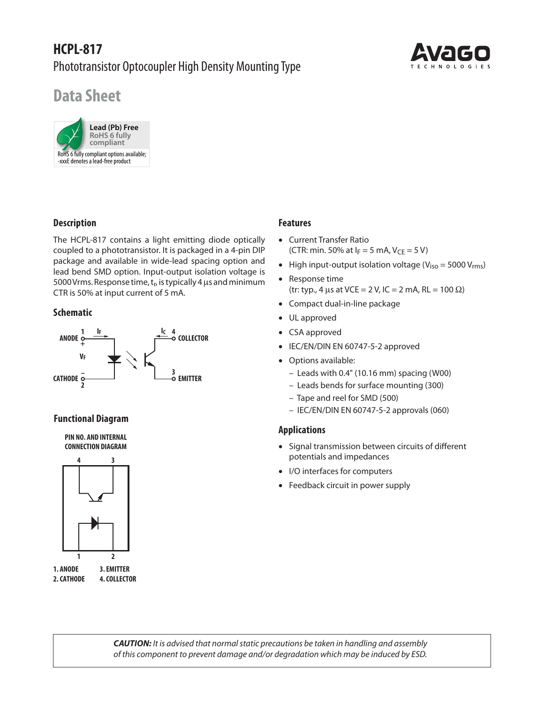## **HCPL-817** Phototransistor Optocoupler High Density Mounting Type



# **Data Sheet**



## **Description**

The HCPL-817 contains a light emitting diode optically coupled to a phototransistor. It is packaged in a 4-pin DIP package and available in wide-lead spacing option and lead bend SMD option. Input-output isolation voltage is 5000 Vrms. Response time,  $t_r$ , is typically 4  $\mu$ s and minimum CTR is 50% at input current of 5 mA.

#### **Schematic**



#### **Functional Diagram**

**PIN NO. AND INTERNAL CONNECTION DIAGRAM**



## **Features**

- Current Transfer Ratio (CTR: min. 50% at  $I_F = 5$  mA,  $V_{CF} = 5$  V)
- High input-output isolation voltage ( $V_{iso}$  = 5000  $V_{rms}$ )
- Response time (tr: typ., 4 μs at VCE = 2 V, IC = 2 mA, RL = 100 Ω)
- Compact dual-in-line package
- UL approved
- CSA approved
- IEC/EN/DIN EN 60747-5-2 approved
- Options available:
	- Leads with 0.4" (10.16 mm) spacing (W00)
	- Leads bends for surface mounting (300)
	- Tape and reel for SMD (500)
	- IEC/EN/DIN EN 60747-5-2 approvals (060)

#### **Applications**

- Signal transmission between circuits of different potentials and impedances
- I/O interfaces for computers
- Feedback circuit in power supply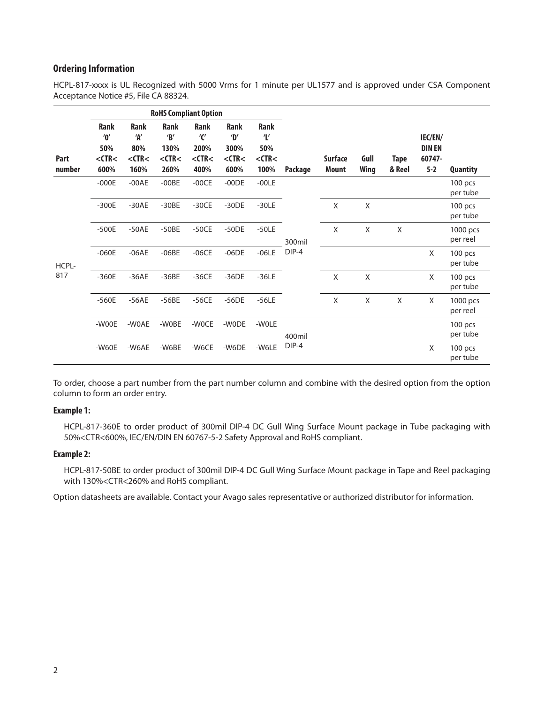## **Ordering Information**

HCPL-817-xxxx is UL Recognized with 5000 Vrms for 1 minute per UL1577 and is approved under CSA Component Acceptance Notice #5, File CA 88324.

|                | <b>RoHS Compliant Option</b>                                           |                                                  |                                                  |                                                   |                                                             |                                                    |                 |                         |              |                       |                                               |                       |
|----------------|------------------------------------------------------------------------|--------------------------------------------------|--------------------------------------------------|---------------------------------------------------|-------------------------------------------------------------|----------------------------------------------------|-----------------|-------------------------|--------------|-----------------------|-----------------------------------------------|-----------------------|
| Part<br>number | <b>Rank</b><br>$^{\prime}$ 0 $^{\prime}$<br>50%<br>$<$ CTR $<$<br>600% | <b>Rank</b><br>'А'<br>80%<br>$<$ CTR $<$<br>160% | <b>Rank</b><br>B'<br>130%<br>$<$ CTR $<$<br>260% | <b>Rank</b><br>'C'<br>200%<br>$<$ CTR $<$<br>400% | <b>Rank</b><br>$\mathbf{D}'$<br>300%<br>$<$ CTR $<$<br>600% | Rank<br>$\mathbf{r}$<br>50%<br>$<$ CTR $<$<br>100% | Package         | <b>Surface</b><br>Mount | Gull<br>Wing | <b>Tape</b><br>& Reel | IEC/EN/<br><b>DIN EN</b><br>60747-<br>$5 - 2$ | <b>Quantity</b>       |
| HCPL-<br>817   | $-000E$                                                                | $-00AE$                                          | $-00BE$                                          | $-00CE$                                           | $-00DE$                                                     | $-00LE$                                            | 300mil<br>DIP-4 |                         |              |                       |                                               | 100 pcs<br>per tube   |
|                | $-300E$                                                                | $-30AE$                                          | $-30BE$                                          | $-30CE$                                           | $-30DE$                                                     | $-30LE$                                            |                 | X                       | X            |                       |                                               | $100$ pcs<br>per tube |
|                | $-500E$                                                                | $-50AE$                                          | $-50BE$                                          | $-50CE$                                           | $-50DE$                                                     | $-50LE$                                            |                 | $\mathsf{X}$            | X            | X                     |                                               | 1000 pcs<br>per reel  |
|                | $-060E$                                                                | $-06AE$                                          | $-06BE$                                          | $-06CE$                                           | $-06DE$                                                     | $-06LE$                                            |                 |                         |              |                       | X                                             | $100$ pcs<br>per tube |
|                | $-360E$                                                                | $-36AE$                                          | $-36BE$                                          | $-36CE$                                           | $-36DE$                                                     | $-36LE$                                            |                 | X                       | $\mathsf X$  |                       | X                                             | 100 pcs<br>per tube   |
|                | $-560E$                                                                | $-56AE$                                          | $-56BE$                                          | $-56CE$                                           | $-56DE$                                                     | $-56LE$                                            |                 | X                       | Χ            | X                     | X                                             | 1000 pcs<br>per reel  |
|                | -WOOE                                                                  | -WOAE                                            | -WOBE                                            | -WOCE                                             | -WODE                                                       | -WOLE                                              | 400mil<br>DIP-4 |                         |              |                       |                                               | 100 pcs<br>per tube   |
|                | $-W60E$                                                                | -W6AE                                            | -W6BE                                            | -W6CE                                             | -W6DE                                                       | -W6LE                                              |                 |                         |              |                       | X                                             | 100 pcs<br>per tube   |

To order, choose a part number from the part number column and combine with the desired option from the option column to form an order entry.

#### **Example 1:**

 HCPL-817-360E to order product of 300mil DIP-4 DC Gull Wing Surface Mount package in Tube packaging with 50%<CTR<600%, IEC/EN/DIN EN 60767-5-2 Safety Approval and RoHS compliant.

#### **Example 2:**

 HCPL-817-50BE to order product of 300mil DIP-4 DC Gull Wing Surface Mount package in Tape and Reel packaging with 130%<CTR<260% and RoHS compliant.

Option datasheets are available. Contact your Avago sales representative or authorized distributor for information.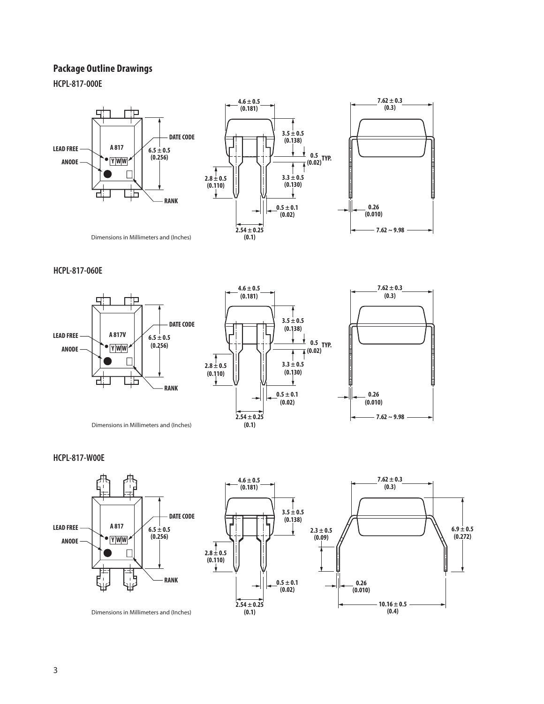## **Package Outline Drawings**

**HCPL-817-000E**





Dimensions in Millimeters and (Inches)

#### **HCPL-817-060E**







Dimensions in Millimeters and (Inches)

**HCPL-817-W00E**



Dimensions in Millimeters and (Inches)

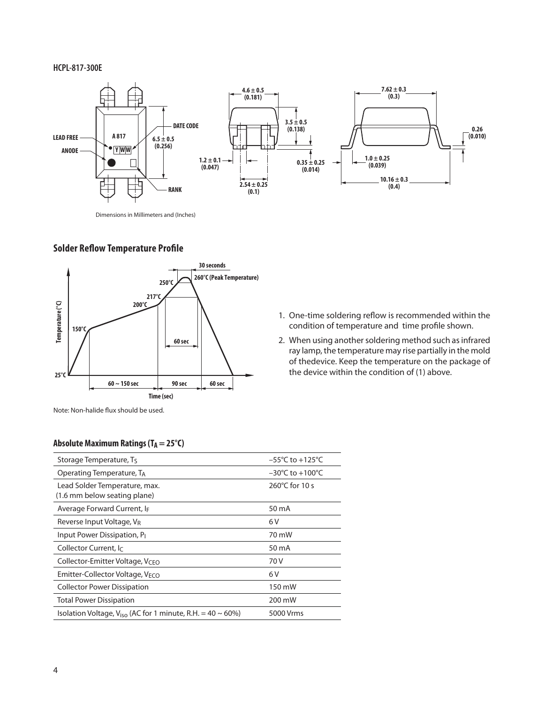#### **HCPL-817-300E**



Dimensions in Millimeters and (Inches)

## **Solder Reflow Temperature Profile**



- 1. One-time soldering reflow is recommended within the condition of temperature and time profile shown.
- 2. When using another soldering method such as infrared ray lamp, the temperature may rise partially in the mold of thedevice. Keep the temperature on the package of the device within the condition of (1) above.

Note: Non-halide flux should be used.

#### **Absolute Maximum Ratings (T<sub>A</sub> = 25°C)**

| Storage Temperature, $T_5$                                             | $-55^{\circ}$ C to $+125^{\circ}$ C |  |  |  |
|------------------------------------------------------------------------|-------------------------------------|--|--|--|
| Operating Temperature, TA                                              | $-30^{\circ}$ C to $+100^{\circ}$ C |  |  |  |
| Lead Solder Temperature, max.<br>(1.6 mm below seating plane)          | 260°C for 10 s                      |  |  |  |
| Average Forward Current, I <sub>F</sub>                                | 50 mA                               |  |  |  |
| Reverse Input Voltage, V <sub>R</sub>                                  | 6 V                                 |  |  |  |
| Input Power Dissipation, P <sub>I</sub>                                | 70 mW                               |  |  |  |
| Collector Current, Ic                                                  | 50 mA                               |  |  |  |
| Collector-Emitter Voltage, V <sub>CFO</sub>                            | 70 V                                |  |  |  |
| Emitter-Collector Voltage, V <sub>ECO</sub>                            | 6 V                                 |  |  |  |
| <b>Collector Power Dissipation</b>                                     | 150 mW                              |  |  |  |
| <b>Total Power Dissipation</b>                                         | 200 mW                              |  |  |  |
| Isolation Voltage, $V_{\text{iso}}$ (AC for 1 minute, R.H. = 40 ~ 60%) | 5000 Vrms                           |  |  |  |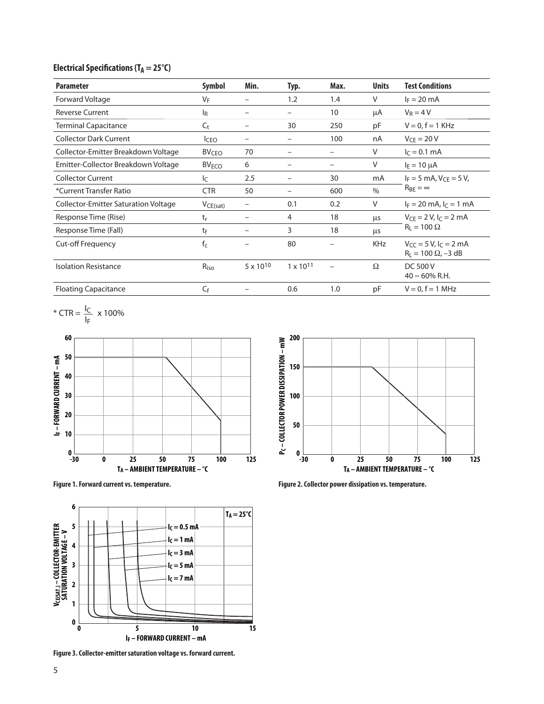## **Electrical Specifications (TA = 25°C)**

| <b>Parameter</b>                            | <b>Symbol</b>           | Min.                     | Typ.                     | Max. | <b>Units</b> | <b>Test Conditions</b>                                   |  |
|---------------------------------------------|-------------------------|--------------------------|--------------------------|------|--------------|----------------------------------------------------------|--|
| <b>Forward Voltage</b>                      | $V_F$                   | -                        | 1.2                      | 1.4  | $\vee$       | $I_F = 20$ mA                                            |  |
| <b>Reverse Current</b>                      | l <sub>R</sub>          | -                        | -                        | 10   | μA           | $V_R = 4 V$                                              |  |
| <b>Terminal Capacitance</b>                 | $C_{t}$                 | $\overline{\phantom{0}}$ | 30                       | 250  | pF           | $V = 0, f = 1$ KHz                                       |  |
| <b>Collector Dark Current</b>               | <b>I</b> CEO            | -                        | $\overline{\phantom{m}}$ | 100  | nA           | $V_{CF}$ = 20 V                                          |  |
| Collector-Emitter Breakdown Voltage         | BV <sub>CEO</sub>       | 70                       |                          |      | V            | $I_C = 0.1$ mA                                           |  |
| Emitter-Collector Breakdown Voltage         | <b>BV<sub>ECO</sub></b> | 6                        | -                        |      | V            | $I_F = 10 \mu A$                                         |  |
| <b>Collector Current</b>                    | Ιc                      | 2.5                      | $\overline{\phantom{m}}$ | 30   | mA           | $I_F = 5$ mA, $V_{CF} = 5$ V,<br>$R_{BF} = \infty$       |  |
| *Current Transfer Ratio                     | <b>CTR</b>              | 50                       | $\overline{\phantom{0}}$ | 600  | $\%$         |                                                          |  |
| <b>Collector-Emitter Saturation Voltage</b> | VCE(sat)                |                          | 0.1                      | 0.2  | V            | $I_F = 20$ mA, $I_C = 1$ mA                              |  |
| Response Time (Rise)                        | $t_{r}$                 |                          | 4                        | 18   | μs           | $V_{CF} = 2 V, I_C = 2 mA$<br>$R_1 = 100 \Omega$         |  |
| Response Time (Fall)                        | tf                      |                          | 3                        | 18   | μs           |                                                          |  |
| <b>Cut-off Frequency</b>                    | $f_c$                   |                          | 80                       |      | <b>KHz</b>   | $V_{CC} = 5 V, I_C = 2 mA$<br>$R_L = 100 \Omega$ , -3 dB |  |
| <b>Isolation Resistance</b>                 | $R_{iso}$               | $5 \times 10^{10}$       | $1 \times 10^{11}$       |      | $\Omega$     | <b>DC 500 V</b><br>$40 \sim 60\%$ R.H.                   |  |
| <b>Floating Capacitance</b>                 | $C_{\mathsf{f}}$        |                          | 0.6                      | 1.0  | рF           | $V = 0, f = 1$ MHz                                       |  |

\* CTR =  $\frac{I_C}{I}$  x 100%







**Figure 3. Collector-emitter saturation voltage vs. forward current.**

Figure 1. Forward current vs. temperature. **Figure 2. Collector power dissipation vs. temperature.**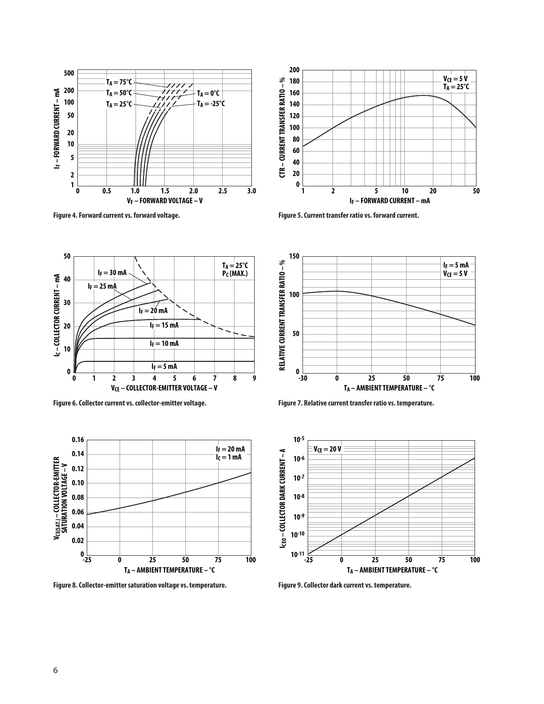



**Figure 4. Forward current vs. forward voltage. Figure 5. Current transfer ratio vs. forward current.**



**Figure 6. Collector current vs. collector-emitter voltage. Figure 7. Relative current transfer ratio vs. temperature.**



**Figure 8. Collector-emitter saturation voltage vs. temperature. Figure 9. Collector dark current vs. temperature.**